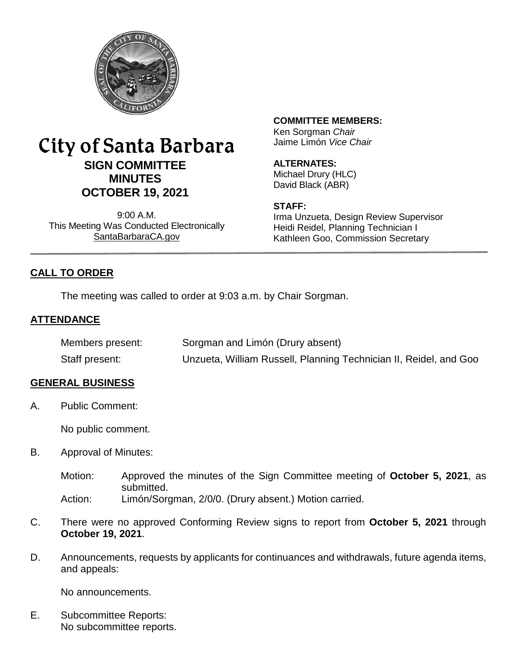

# City of Santa Barbara **SIGN COMMITTEE MINUTES OCTOBER 19, 2021**

9:00 A.M. This Meeting Was Conducted Electronically [SantaBarbaraCA.gov](http://www.santabarbaraca.gov/)

**COMMITTEE MEMBERS:**

Ken Sorgman *Chair* Jaime Limón *Vice Chair*

# **ALTERNATES:**

Michael Drury (HLC) David Black (ABR)

#### **STAFF:**

Irma Unzueta, Design Review Supervisor Heidi Reidel, Planning Technician I Kathleen Goo, Commission Secretary

# **CALL TO ORDER**

The meeting was called to order at 9:03 a.m. by Chair Sorgman.

# **ATTENDANCE**

| Members present: | Sorgman and Limón (Drury absent)                                  |
|------------------|-------------------------------------------------------------------|
| Staff present:   | Unzueta, William Russell, Planning Technician II, Reidel, and Goo |

#### **GENERAL BUSINESS**

A. Public Comment:

No public comment.

- B. Approval of Minutes:
	- Motion: Approved the minutes of the Sign Committee meeting of **October 5, 2021**, as submitted. Action: Limón/Sorgman, 2/0/0. (Drury absent.) Motion carried.
	-
- C. There were no approved Conforming Review signs to report from **October 5, 2021** through **October 19, 2021**.
- D. Announcements, requests by applicants for continuances and withdrawals, future agenda items, and appeals:

No announcements.

E. Subcommittee Reports: No subcommittee reports.